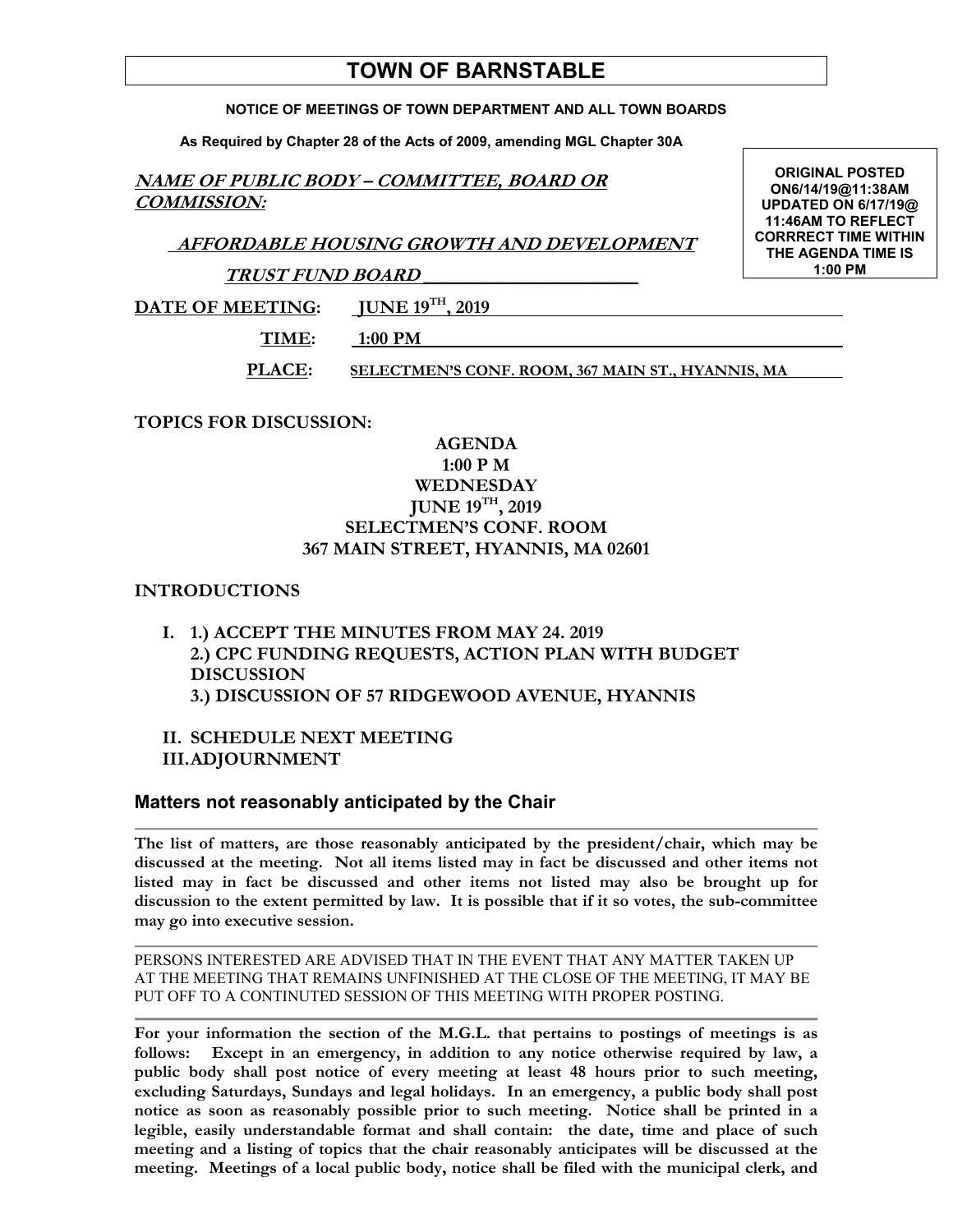# **TOWN OF BARNSTABLE**

#### **NOTICE OF MEETINGS OF TOWN DEPARTMENT AND ALL TOWN BOARDS**

**As Required by Chapter 28 of the Acts of 2009, amending MGL Chapter 30A** 

# **NAME OF PUBLIC BODY – COMMITTEE, BOARD OR COMMISSION:**

 **AFFORDABLE HOUSING GROWTH AND DEVELOPMENT** 

**TRUST FUND BOARD \_\_\_\_\_\_\_\_\_\_\_\_\_\_\_\_\_\_\_\_\_\_\_** 

DATE OF MEETING: **JUNE 19<sup>TH</sup>**, 2019

 **TIME: 1:00 PM** 

**PLACE: SELECTMEN'S CONF. ROOM, 367 MAIN ST., HYANNIS, MA** 

**TOPICS FOR DISCUSSION:** 

### **AGENDA 1:00 P M WEDNESDAY JUNE 19TH, 2019 SELECTMEN'S CONF. ROOM 367 MAIN STREET, HYANNIS, MA 02601**

# **INTRODUCTIONS**

- **I. 1.) ACCEPT THE MINUTES FROM MAY 24. 2019 2.) CPC FUNDING REQUESTS, ACTION PLAN WITH BUDGET DISCUSSION 3.) DISCUSSION OF 57 RIDGEWOOD AVENUE, HYANNIS**
- **II. SCHEDULE NEXT MEETING III.ADJOURNMENT**

# **Matters not reasonably anticipated by the Chair**

**The list of matters, are those reasonably anticipated by the president/chair, which may be discussed at the meeting. Not all items listed may in fact be discussed and other items not listed may in fact be discussed and other items not listed may also be brought up for discussion to the extent permitted by law. It is possible that if it so votes, the sub-committee may go into executive session.** 

PERSONS INTERESTED ARE ADVISED THAT IN THE EVENT THAT ANY MATTER TAKEN UP AT THE MEETING THAT REMAINS UNFINISHED AT THE CLOSE OF THE MEETING, IT MAY BE PUT OFF TO A CONTINUTED SESSION OF THIS MEETING WITH PROPER POSTING.

**For your information the section of the M.G.L. that pertains to postings of meetings is as follows: Except in an emergency, in addition to any notice otherwise required by law, a public body shall post notice of every meeting at least 48 hours prior to such meeting, excluding Saturdays, Sundays and legal holidays. In an emergency, a public body shall post notice as soon as reasonably possible prior to such meeting. Notice shall be printed in a legible, easily understandable format and shall contain: the date, time and place of such meeting and a listing of topics that the chair reasonably anticipates will be discussed at the meeting. Meetings of a local public body, notice shall be filed with the municipal clerk, and** 

**ORIGINAL POSTED ON6/14/19@11:38AM UPDATED ON 6/17/19@ 11:46AM TO REFLECT CORRRECT TIME WITHIN THE AGENDA TIME IS 1:00 PM**